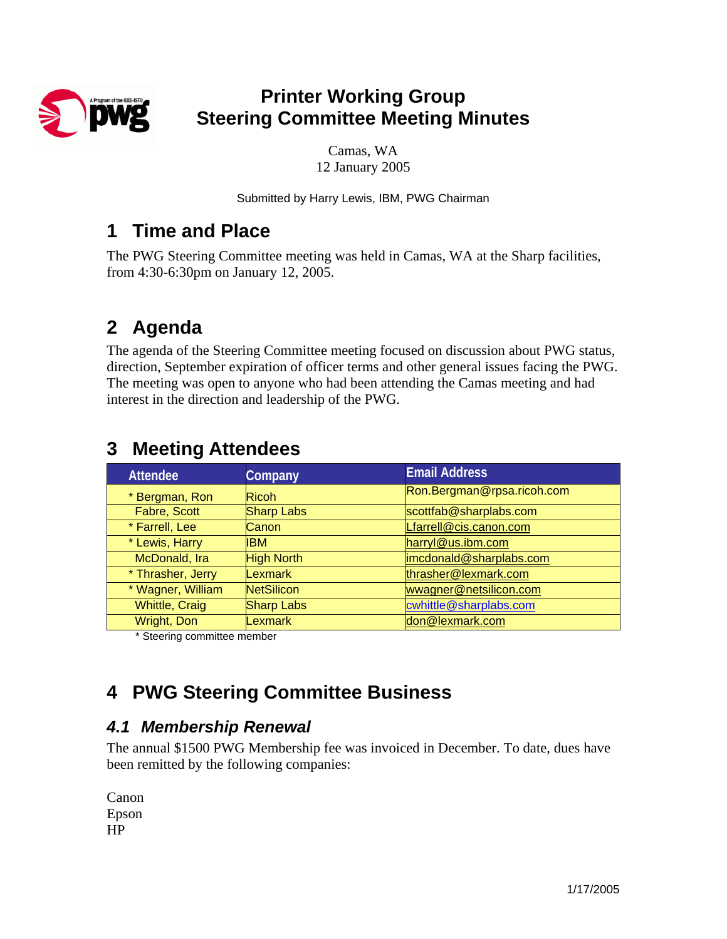

## **Printer Working Group Steering Committee Meeting Minutes**

Camas, WA 12 January 2005

Submitted by Harry Lewis, IBM, PWG Chairman

## **1 Time and Place**

The PWG Steering Committee meeting was held in Camas, WA at the Sharp facilities, from 4:30-6:30pm on January 12, 2005.

# **2 Agenda**

The agenda of the Steering Committee meeting focused on discussion about PWG status, direction, September expiration of officer terms and other general issues facing the PWG. The meeting was open to anyone who had been attending the Camas meeting and had interest in the direction and leadership of the PWG.

| <b>Attendee</b>       | Company           | <b>Email Address</b>       |  |
|-----------------------|-------------------|----------------------------|--|
| * Bergman, Ron        | <b>Ricoh</b>      | Ron.Bergman@rpsa.ricoh.com |  |
| Fabre, Scott          | <b>Sharp Labs</b> | scottfab@sharplabs.com     |  |
| * Farrell, Lee        | Canon             | Lfarrell@cis.canon.com     |  |
| * Lewis, Harry        | <b>IBM</b>        | harryl@us.ibm.com          |  |
| McDonald, Ira         | <b>High North</b> | imcdonald@sharplabs.com    |  |
| * Thrasher, Jerry     | Lexmark           | thrasher@lexmark.com       |  |
| * Wagner, William     | <b>NetSilicon</b> | wwagner@netsilicon.com     |  |
| <b>Whittle, Craig</b> | <b>Sharp Labs</b> | cwhittle@sharplabs.com     |  |
| Wright, Don           | Lexmark           | don@lexmark.com            |  |

## **3 Meeting Attendees**

\* Steering committee member

# **4 PWG Steering Committee Business**

### *4.1 Membership Renewal*

The annual \$1500 PWG Membership fee was invoiced in December. To date, dues have been remitted by the following companies:

| Canon |  |
|-------|--|
| Epson |  |
| HР    |  |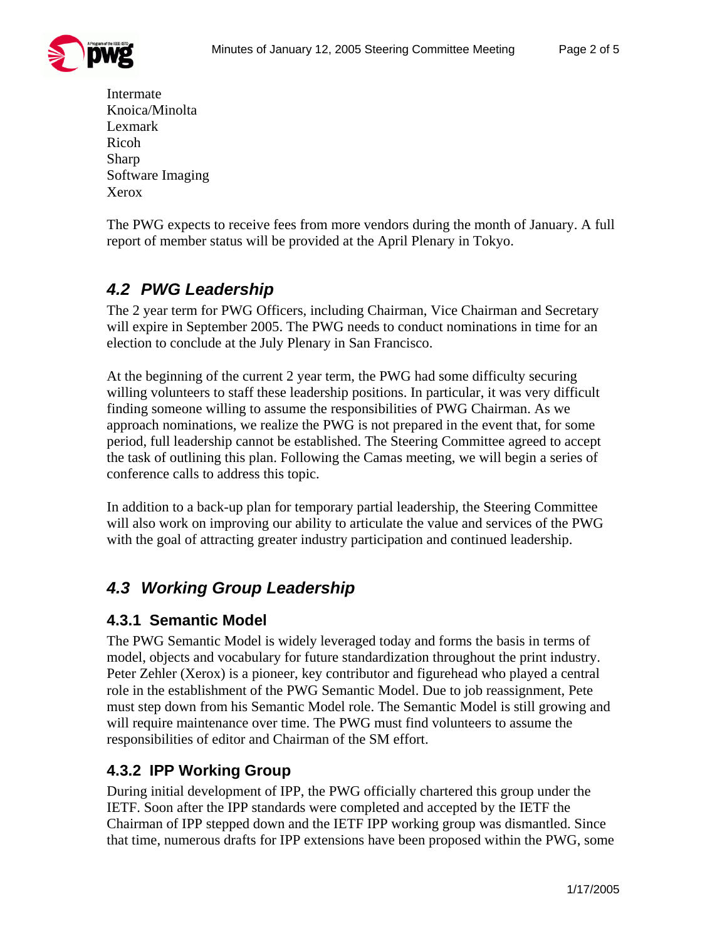

Intermate Knoica/Minolta Lexmark Ricoh Sharp Software Imaging Xerox

The PWG expects to receive fees from more vendors during the month of January. A full report of member status will be provided at the April Plenary in Tokyo.

## *4.2 PWG Leadership*

The 2 year term for PWG Officers, including Chairman, Vice Chairman and Secretary will expire in September 2005. The PWG needs to conduct nominations in time for an election to conclude at the July Plenary in San Francisco.

At the beginning of the current 2 year term, the PWG had some difficulty securing willing volunteers to staff these leadership positions. In particular, it was very difficult finding someone willing to assume the responsibilities of PWG Chairman. As we approach nominations, we realize the PWG is not prepared in the event that, for some period, full leadership cannot be established. The Steering Committee agreed to accept the task of outlining this plan. Following the Camas meeting, we will begin a series of conference calls to address this topic.

In addition to a back-up plan for temporary partial leadership, the Steering Committee will also work on improving our ability to articulate the value and services of the PWG with the goal of attracting greater industry participation and continued leadership.

### *4.3 Working Group Leadership*

#### **4.3.1 Semantic Model**

The PWG Semantic Model is widely leveraged today and forms the basis in terms of model, objects and vocabulary for future standardization throughout the print industry. Peter Zehler (Xerox) is a pioneer, key contributor and figurehead who played a central role in the establishment of the PWG Semantic Model. Due to job reassignment, Pete must step down from his Semantic Model role. The Semantic Model is still growing and will require maintenance over time. The PWG must find volunteers to assume the responsibilities of editor and Chairman of the SM effort.

#### **4.3.2 IPP Working Group**

During initial development of IPP, the PWG officially chartered this group under the IETF. Soon after the IPP standards were completed and accepted by the IETF the Chairman of IPP stepped down and the IETF IPP working group was dismantled. Since that time, numerous drafts for IPP extensions have been proposed within the PWG, some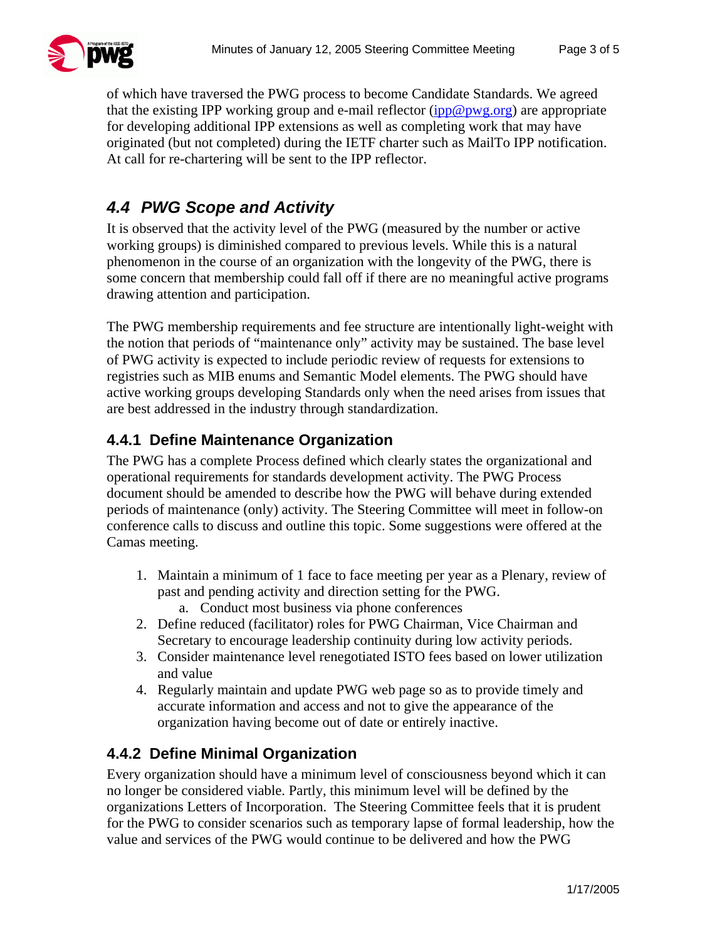

of which have traversed the PWG process to become Candidate Standards. We agreed that the existing IPP working group and e-mail reflector  $(ipp@pwg.org)$  $(ipp@pwg.org)$  are appropriate for developing additional IPP extensions as well as completing work that may have originated (but not completed) during the IETF charter such as MailTo IPP notification. At call for re-chartering will be sent to the IPP reflector.

## *4.4 PWG Scope and Activity*

It is observed that the activity level of the PWG (measured by the number or active working groups) is diminished compared to previous levels. While this is a natural phenomenon in the course of an organization with the longevity of the PWG, there is some concern that membership could fall off if there are no meaningful active programs drawing attention and participation.

The PWG membership requirements and fee structure are intentionally light-weight with the notion that periods of "maintenance only" activity may be sustained. The base level of PWG activity is expected to include periodic review of requests for extensions to registries such as MIB enums and Semantic Model elements. The PWG should have active working groups developing Standards only when the need arises from issues that are best addressed in the industry through standardization.

#### **4.4.1 Define Maintenance Organization**

The PWG has a complete Process defined which clearly states the organizational and operational requirements for standards development activity. The PWG Process document should be amended to describe how the PWG will behave during extended periods of maintenance (only) activity. The Steering Committee will meet in follow-on conference calls to discuss and outline this topic. Some suggestions were offered at the Camas meeting.

- 1. Maintain a minimum of 1 face to face meeting per year as a Plenary, review of past and pending activity and direction setting for the PWG.
	- a. Conduct most business via phone conferences
- 2. Define reduced (facilitator) roles for PWG Chairman, Vice Chairman and Secretary to encourage leadership continuity during low activity periods.
- 3. Consider maintenance level renegotiated ISTO fees based on lower utilization and value
- 4. Regularly maintain and update PWG web page so as to provide timely and accurate information and access and not to give the appearance of the organization having become out of date or entirely inactive.

#### **4.4.2 Define Minimal Organization**

Every organization should have a minimum level of consciousness beyond which it can no longer be considered viable. Partly, this minimum level will be defined by the organizations Letters of Incorporation. The Steering Committee feels that it is prudent for the PWG to consider scenarios such as temporary lapse of formal leadership, how the value and services of the PWG would continue to be delivered and how the PWG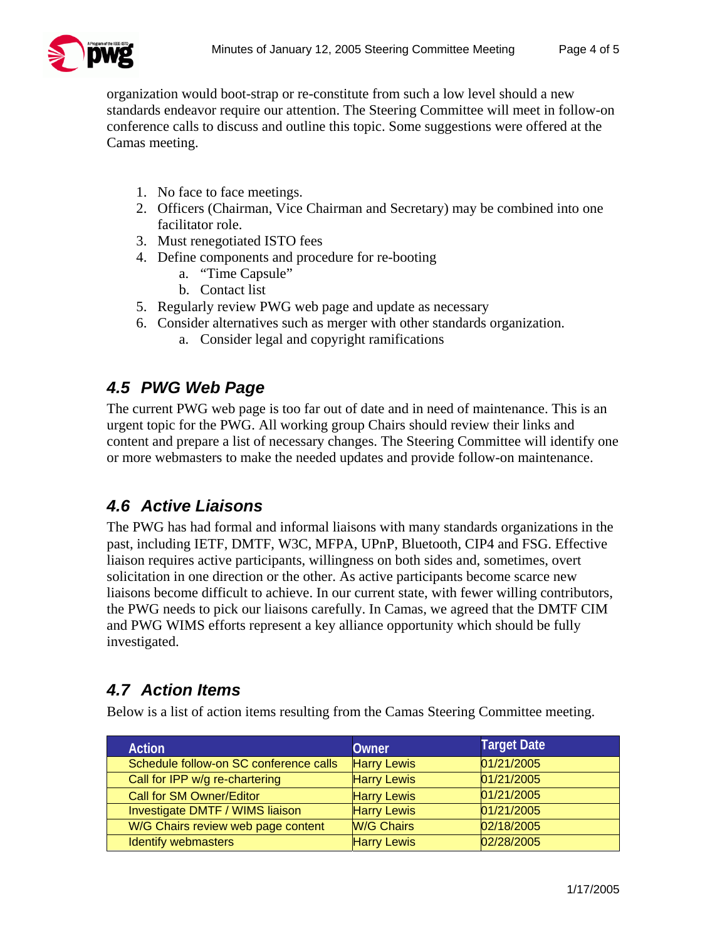

organization would boot-strap or re-constitute from such a low level should a new standards endeavor require our attention. The Steering Committee will meet in follow-on conference calls to discuss and outline this topic. Some suggestions were offered at the Camas meeting.

- 1. No face to face meetings.
- 2. Officers (Chairman, Vice Chairman and Secretary) may be combined into one facilitator role.
- 3. Must renegotiated ISTO fees
- 4. Define components and procedure for re-booting
	- a. "Time Capsule"
	- b. Contact list
- 5. Regularly review PWG web page and update as necessary
- 6. Consider alternatives such as merger with other standards organization.
	- a. Consider legal and copyright ramifications

#### *4.5 PWG Web Page*

The current PWG web page is too far out of date and in need of maintenance. This is an urgent topic for the PWG. All working group Chairs should review their links and content and prepare a list of necessary changes. The Steering Committee will identify one or more webmasters to make the needed updates and provide follow-on maintenance.

### *4.6 Active Liaisons*

The PWG has had formal and informal liaisons with many standards organizations in the past, including IETF, DMTF, W3C, MFPA, UPnP, Bluetooth, CIP4 and FSG. Effective liaison requires active participants, willingness on both sides and, sometimes, overt solicitation in one direction or the other. As active participants become scarce new liaisons become difficult to achieve. In our current state, with fewer willing contributors, the PWG needs to pick our liaisons carefully. In Camas, we agreed that the DMTF CIM and PWG WIMS efforts represent a key alliance opportunity which should be fully investigated.

#### *4.7 Action Items*

Below is a list of action items resulting from the Camas Steering Committee meeting.

| <b>Action</b>                          | Owner              | <b>Target Date</b> |
|----------------------------------------|--------------------|--------------------|
| Schedule follow-on SC conference calls | <b>Harry Lewis</b> | 01/21/2005         |
| Call for IPP w/g re-chartering         | <b>Harry Lewis</b> | 01/21/2005         |
| <b>Call for SM Owner/Editor</b>        | <b>Harry Lewis</b> | 01/21/2005         |
| Investigate DMTF / WIMS liaison        | <b>Harry Lewis</b> | 01/21/2005         |
| W/G Chairs review web page content     | <b>W/G Chairs</b>  | 02/18/2005         |
| <b>Identify webmasters</b>             | <b>Harry Lewis</b> | 02/28/2005         |